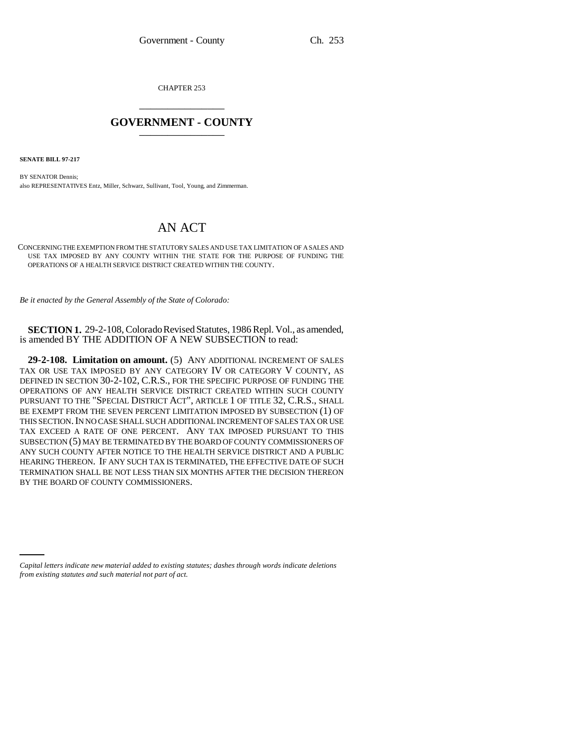CHAPTER 253 \_\_\_\_\_\_\_\_\_\_\_\_\_\_\_

## **GOVERNMENT - COUNTY** \_\_\_\_\_\_\_\_\_\_\_\_\_\_\_

**SENATE BILL 97-217**

BY SENATOR Dennis; also REPRESENTATIVES Entz, Miller, Schwarz, Sullivant, Tool, Young, and Zimmerman.

## AN ACT

CONCERNING THE EXEMPTION FROM THE STATUTORY SALES AND USE TAX LIMITATION OF A SALES AND USE TAX IMPOSED BY ANY COUNTY WITHIN THE STATE FOR THE PURPOSE OF FUNDING THE OPERATIONS OF A HEALTH SERVICE DISTRICT CREATED WITHIN THE COUNTY.

*Be it enacted by the General Assembly of the State of Colorado:*

**SECTION 1.** 29-2-108, Colorado Revised Statutes, 1986 Repl. Vol., as amended, is amended BY THE ADDITION OF A NEW SUBSECTION to read:

**29-2-108. Limitation on amount.** (5) ANY ADDITIONAL INCREMENT OF SALES TAX OR USE TAX IMPOSED BY ANY CATEGORY IV OR CATEGORY V COUNTY, AS DEFINED IN SECTION 30-2-102, C.R.S., FOR THE SPECIFIC PURPOSE OF FUNDING THE OPERATIONS OF ANY HEALTH SERVICE DISTRICT CREATED WITHIN SUCH COUNTY PURSUANT TO THE "SPECIAL DISTRICT ACT", ARTICLE 1 OF TITLE 32, C.R.S., SHALL BE EXEMPT FROM THE SEVEN PERCENT LIMITATION IMPOSED BY SUBSECTION (1) OF THIS SECTION. IN NO CASE SHALL SUCH ADDITIONAL INCREMENT OF SALES TAX OR USE TAX EXCEED A RATE OF ONE PERCENT. ANY TAX IMPOSED PURSUANT TO THIS SUBSECTION (5) MAY BE TERMINATED BY THE BOARD OF COUNTY COMMISSIONERS OF ANY SUCH COUNTY AFTER NOTICE TO THE HEALTH SERVICE DISTRICT AND A PUBLIC HEARING THEREON. IF ANY SUCH TAX IS TERMINATED, THE EFFECTIVE DATE OF SUCH TERMINATION SHALL BE NOT LESS THAN SIX MONTHS AFTER THE DECISION THEREON BY THE BOARD OF COUNTY COMMISSIONERS.

*Capital letters indicate new material added to existing statutes; dashes through words indicate deletions from existing statutes and such material not part of act.*